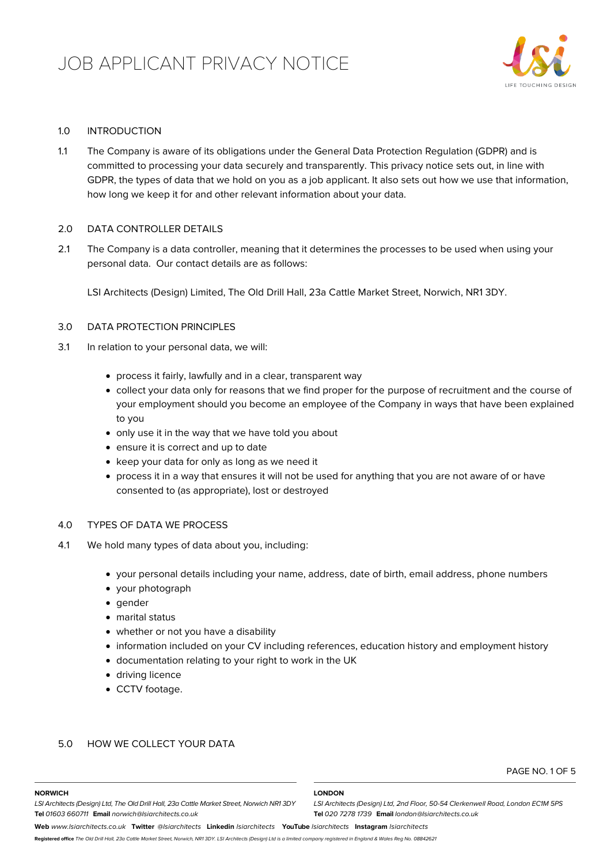

# 1.0 INTRODUCTION

1.1 The Company is aware of its obligations under the General Data Protection Regulation (GDPR) and is committed to processing your data securely and transparently. This privacy notice sets out, in line with GDPR, the types of data that we hold on you as a job applicant. It also sets out how we use that information, how long we keep it for and other relevant information about your data.

## 2.0 DATA CONTROLLER DETAILS

2.1 The Company is a data controller, meaning that it determines the processes to be used when using your personal data. Our contact details are as follows:

LSI Architects (Design) Limited, The Old Drill Hall, 23a Cattle Market Street, Norwich, NR1 3DY.

# 3.0 DATA PROTECTION PRINCIPLES

- 3.1 In relation to your personal data, we will:
	- process it fairly, lawfully and in a clear, transparent way
	- collect your data only for reasons that we find proper for the purpose of recruitment and the course of your employment should you become an employee of the Company in ways that have been explained to you
	- only use it in the way that we have told you about
	- ensure it is correct and up to date
	- keep your data for only as long as we need it
	- process it in a way that ensures it will not be used for anything that you are not aware of or have consented to (as appropriate), lost or destroyed

# 4.0 TYPES OF DATA WE PROCESS

- 4.1 We hold many types of data about you, including:
	- your personal details including your name, address, date of birth, email address, phone numbers
	- your photograph
	- gender
	- marital status
	- whether or not you have a disability
	- information included on your CV including references, education history and employment history
	- documentation relating to your right to work in the UK
	- driving licence
	- CCTV footage.

## 5.0 HOW WE COLLECT YOUR DATA

**NORWICH**

### PAGE NO. 1 OF 5

### **LONDON**

*LSI Architects (Design) Ltd, 2nd Floor, 50-54 Clerkenwell Road, London EC1M 5PS*

**Tel** *020 7278 1739* **Email** *london@lsiarchitects.co.uk*

*LSI Architects (Design) Ltd, The Old Drill Hall, 23a Cattle Market Street, Norwich NR1 3DY* **Tel** *01603 660711* **Email** *norwich@lsiarchitects.co.uk*

**Web** *www.lsiarchitects.co.uk* **Twitter** *@lsiarchitects* **Linkedin** *lsiarchitects* **YouTube** *lsiarchitects* **Instagram** *lsiarchitects*

**Registered office** *The Old Drill Hall, 23a Cattle Market Street, Norwich, NR1 3DY. LSI Architects (Design) Ltd is a limited company registered in England & Wales Reg No. 08842621*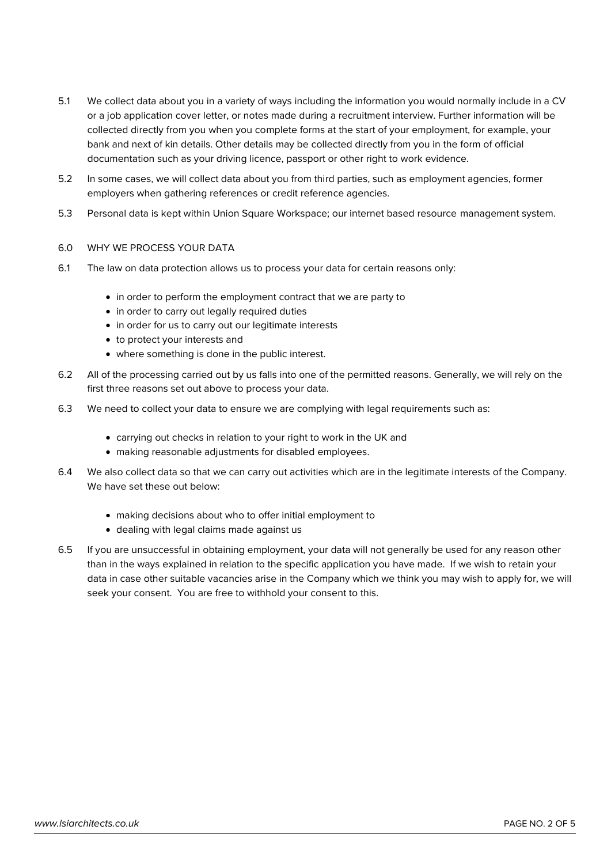- 5.1 We collect data about you in a variety of ways including the information you would normally include in a CV or a job application cover letter, or notes made during a recruitment interview. Further information will be collected directly from you when you complete forms at the start of your employment, for example, your bank and next of kin details. Other details may be collected directly from you in the form of official documentation such as your driving licence, passport or other right to work evidence.
- 5.2 In some cases, we will collect data about you from third parties, such as employment agencies, former employers when gathering references or credit reference agencies.
- 5.3 Personal data is kept within Union Square Workspace; our internet based resource management system.

# 6.0 WHY WE PROCESS YOUR DATA

- 6.1 The law on data protection allows us to process your data for certain reasons only:
	- in order to perform the employment contract that we are party to
	- in order to carry out legally required duties
	- in order for us to carry out our legitimate interests
	- to protect your interests and
	- where something is done in the public interest.
- 6.2 All of the processing carried out by us falls into one of the permitted reasons. Generally, we will rely on the first three reasons set out above to process your data.
- 6.3 We need to collect your data to ensure we are complying with legal requirements such as:
	- carrying out checks in relation to your right to work in the UK and
	- making reasonable adjustments for disabled employees.
- 6.4 We also collect data so that we can carry out activities which are in the legitimate interests of the Company. We have set these out below:
	- making decisions about who to offer initial employment to
	- dealing with legal claims made against us
- 6.5 If you are unsuccessful in obtaining employment, your data will not generally be used for any reason other than in the ways explained in relation to the specific application you have made. If we wish to retain your data in case other suitable vacancies arise in the Company which we think you may wish to apply for, we will seek your consent. You are free to withhold your consent to this.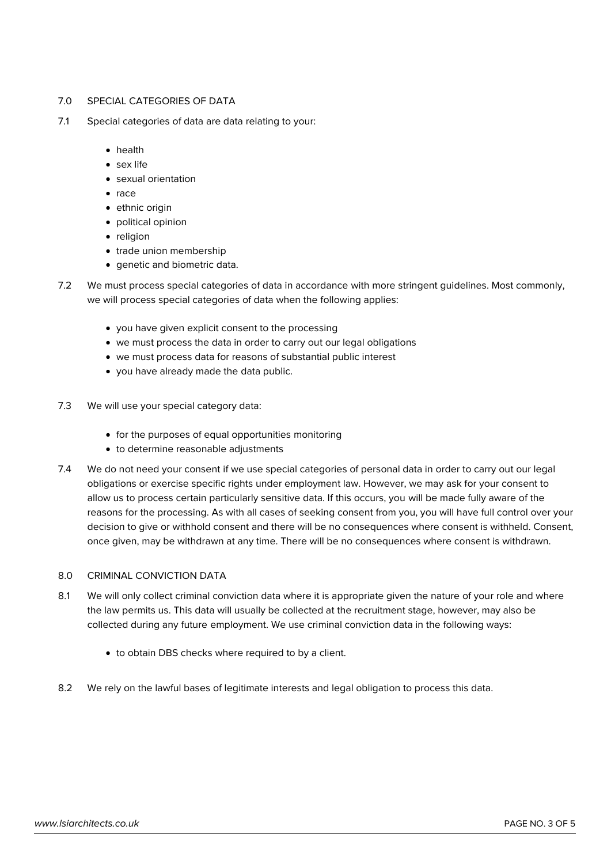## 7.0 SPECIAL CATEGORIES OF DATA

- 7.1 Special categories of data are data relating to your:
	- health
	- sex life
	- sexual orientation
	- $rac{e}{2}$  race
	- ethnic origin
	- political opinion
	- religion
	- trade union membership
	- **•** genetic and biometric data.
- 7.2 We must process special categories of data in accordance with more stringent guidelines. Most commonly, we will process special categories of data when the following applies:
	- you have given explicit consent to the processing
	- we must process the data in order to carry out our legal obligations
	- we must process data for reasons of substantial public interest
	- you have already made the data public.
- 7.3 We will use your special category data:
	- for the purposes of equal opportunities monitoring
	- to determine reasonable adjustments
- 7.4 We do not need your consent if we use special categories of personal data in order to carry out our legal obligations or exercise specific rights under employment law. However, we may ask for your consent to allow us to process certain particularly sensitive data. If this occurs, you will be made fully aware of the reasons for the processing. As with all cases of seeking consent from you, you will have full control over your decision to give or withhold consent and there will be no consequences where consent is withheld. Consent, once given, may be withdrawn at any time. There will be no consequences where consent is withdrawn.

# 8.0 CRIMINAL CONVICTION DATA

- 8.1 We will only collect criminal conviction data where it is appropriate given the nature of your role and where the law permits us. This data will usually be collected at the recruitment stage, however, may also be collected during any future employment. We use criminal conviction data in the following ways:
	- to obtain DBS checks where required to by a client.
- 8.2 We rely on the lawful bases of legitimate interests and legal obligation to process this data.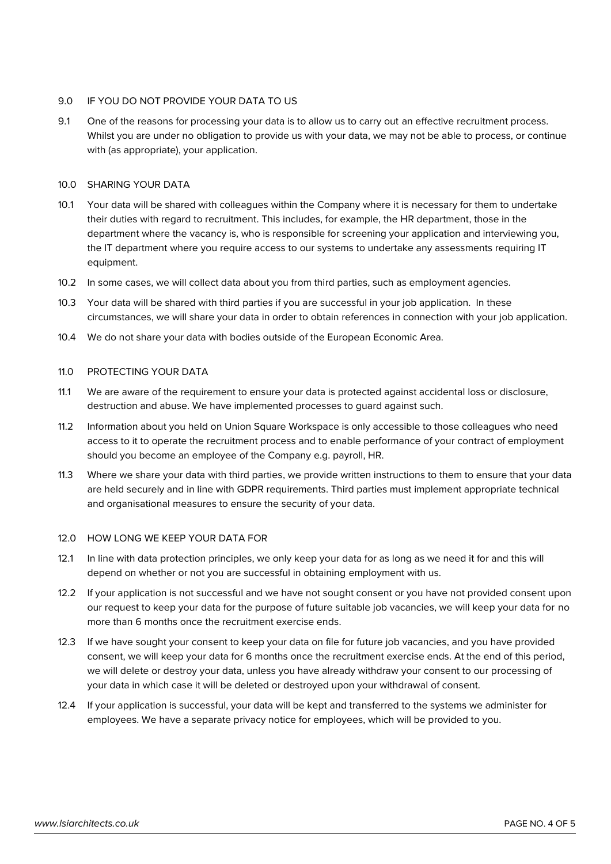# 9.0 IF YOU DO NOT PROVIDE YOUR DATA TO US

9.1 One of the reasons for processing your data is to allow us to carry out an effective recruitment process. Whilst you are under no obligation to provide us with your data, we may not be able to process, or continue with (as appropriate), your application.

# 10.0 SHARING YOUR DATA

- 10.1 Your data will be shared with colleagues within the Company where it is necessary for them to undertake their duties with regard to recruitment. This includes, for example, the HR department, those in the department where the vacancy is, who is responsible for screening your application and interviewing you, the IT department where you require access to our systems to undertake any assessments requiring IT equipment.
- 10.2 In some cases, we will collect data about you from third parties, such as employment agencies.
- 10.3 Your data will be shared with third parties if you are successful in your job application. In these circumstances, we will share your data in order to obtain references in connection with your job application.
- 10.4 We do not share your data with bodies outside of the European Economic Area.

## 11.0 PROTECTING YOUR DATA

- 11.1 We are aware of the requirement to ensure your data is protected against accidental loss or disclosure, destruction and abuse. We have implemented processes to guard against such.
- 11.2 Information about you held on Union Square Workspace is only accessible to those colleagues who need access to it to operate the recruitment process and to enable performance of your contract of employment should you become an employee of the Company e.g. payroll, HR.
- 11.3 Where we share your data with third parties, we provide written instructions to them to ensure that your data are held securely and in line with GDPR requirements. Third parties must implement appropriate technical and organisational measures to ensure the security of your data.

## 12.0 HOW LONG WE KEEP YOUR DATA FOR

- 12.1 In line with data protection principles, we only keep your data for as long as we need it for and this will depend on whether or not you are successful in obtaining employment with us.
- 12.2 If your application is not successful and we have not sought consent or you have not provided consent upon our request to keep your data for the purpose of future suitable job vacancies, we will keep your data for no more than 6 months once the recruitment exercise ends.
- 12.3 If we have sought your consent to keep your data on file for future job vacancies, and you have provided consent, we will keep your data for 6 months once the recruitment exercise ends. At the end of this period, we will delete or destroy your data, unless you have already withdraw your consent to our processing of your data in which case it will be deleted or destroyed upon your withdrawal of consent.
- 12.4 If your application is successful, your data will be kept and transferred to the systems we administer for employees. We have a separate privacy notice for employees, which will be provided to you.